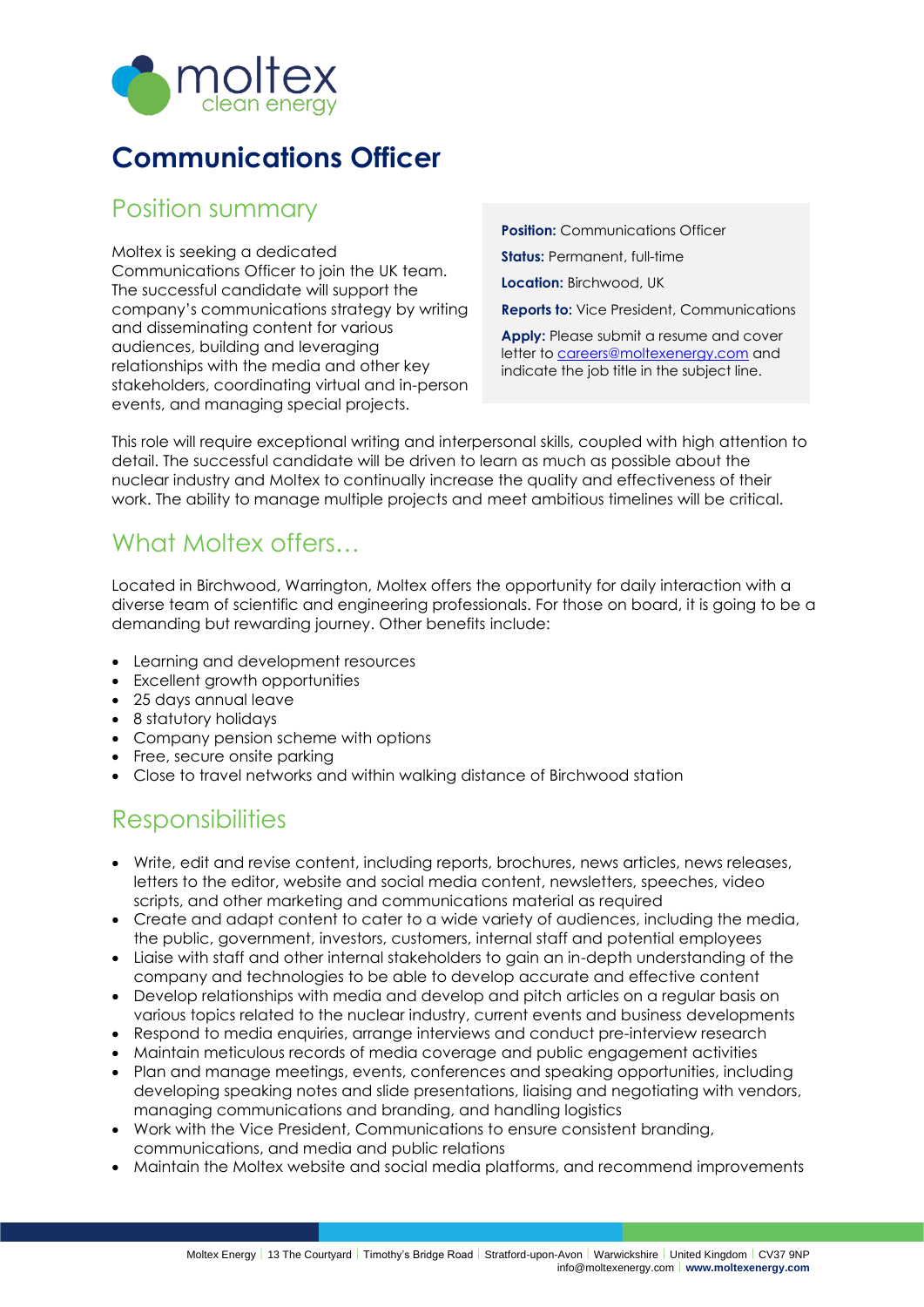

# **Communications Officer**

#### Position summary

Moltex is seeking a dedicated Communications Officer to join the UK team. The successful candidate will support the company's communications strategy by writing and disseminating content for various audiences, building and leveraging relationships with the media and other key stakeholders, coordinating virtual and in-person events, and managing special projects.

**Position:** Communications Officer **Status:** Permanent, full-time **Location:** Birchwood, UK **Reports to:** Vice President, Communications

**Apply:** Please submit a resume and cover letter to [careers@moltexenergy.com](mailto:careers@moltexenergy.com) and indicate the job title in the subject line.

This role will require exceptional writing and interpersonal skills, coupled with high attention to detail. The successful candidate will be driven to learn as much as possible about the nuclear industry and Moltex to continually increase the quality and effectiveness of their work. The ability to manage multiple projects and meet ambitious timelines will be critical.

## What Moltex offers...

Located in Birchwood, Warrington, Moltex offers the opportunity for daily interaction with a diverse team of scientific and engineering professionals. For those on board, it is going to be a demanding but rewarding journey. Other benefits include:

- Learning and development resources
- Excellent growth opportunities
- 25 days annual leave
- 8 statutory holidays
- Company pension scheme with options
- Free, secure onsite parking
- Close to travel networks and within walking distance of Birchwood station

### Responsibilities

- Write, edit and revise content, including reports, brochures, news articles, news releases, letters to the editor, website and social media content, newsletters, speeches, video scripts, and other marketing and communications material as required
- Create and adapt content to cater to a wide variety of audiences, including the media, the public, government, investors, customers, internal staff and potential employees
- Liaise with staff and other internal stakeholders to gain an in-depth understanding of the company and technologies to be able to develop accurate and effective content
- Develop relationships with media and develop and pitch articles on a regular basis on various topics related to the nuclear industry, current events and business developments
- Respond to media enquiries, arrange interviews and conduct pre-interview research
- Maintain meticulous records of media coverage and public engagement activities
- Plan and manage meetings, events, conferences and speaking opportunities, including developing speaking notes and slide presentations, liaising and negotiating with vendors, managing communications and branding, and handling logistics
- Work with the Vice President, Communications to ensure consistent branding, communications, and media and public relations
- Maintain the Moltex website and social media platforms, and recommend improvements